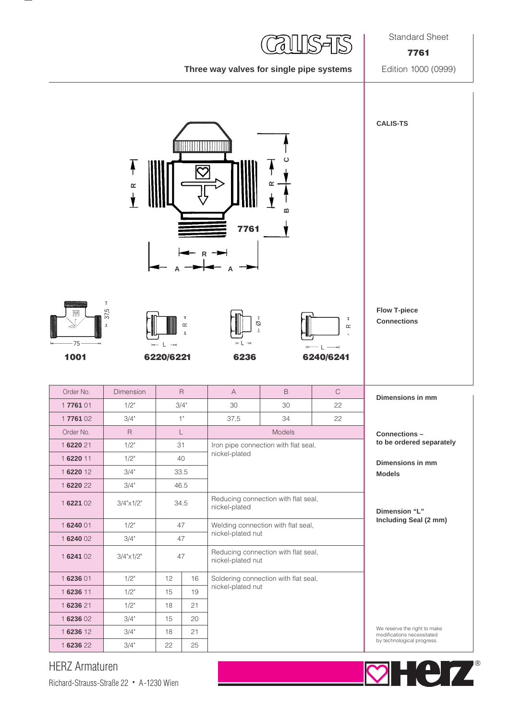Standard Sheet

## **Three way valves for single pipe systems** Edition 1000 (0999)

**7761**



## HERZ Armaturen

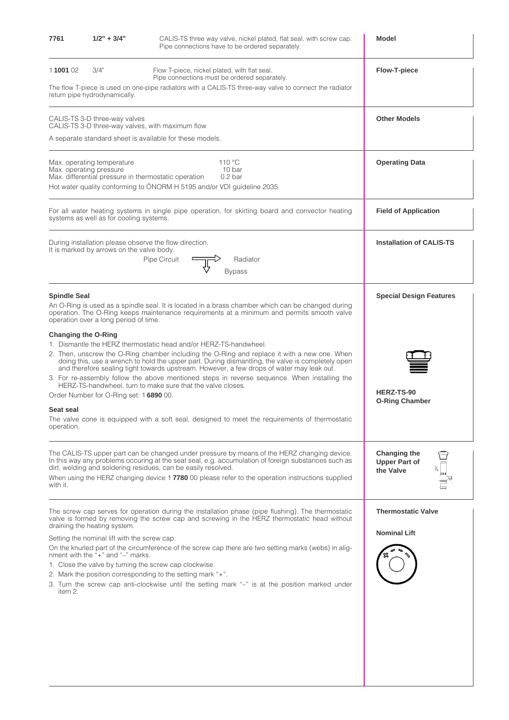| 7761                             | $1/2" + 3/4"$                                                                                                                                 | CALIS-TS three way valve, nickel plated, flat seal, with screw cap.<br>Pipe connections have to be ordered separately.                                                                                                                                                                                                                                                                                                                                                                                                                  | <b>Model</b>                                      |
|----------------------------------|-----------------------------------------------------------------------------------------------------------------------------------------------|-----------------------------------------------------------------------------------------------------------------------------------------------------------------------------------------------------------------------------------------------------------------------------------------------------------------------------------------------------------------------------------------------------------------------------------------------------------------------------------------------------------------------------------------|---------------------------------------------------|
| 1100102                          | 3/4"<br>return pipe hydrodynamically.                                                                                                         | Flow T-piece, nickel plated, with flat seal.<br>Pipe connections must be ordered separately.<br>The flow T-piece is used on one-pipe radiators with a CALIS-TS three-way valve to connect the radiator                                                                                                                                                                                                                                                                                                                                  | <b>Flow-T-piece</b>                               |
|                                  | CALIS-TS 3-D three-way valves<br>CALIS-TS 3-D three-way valves, with maximum flow<br>A separate standard sheet is available for these models. | <b>Other Models</b>                                                                                                                                                                                                                                                                                                                                                                                                                                                                                                                     |                                                   |
|                                  | Max. operating temperature<br>Max. operating pressure                                                                                         | 110 °C<br>10 bar<br>Max. differential pressure in thermostatic operation<br>0.2 <sub>bar</sub><br>Hot water quality conforming to ÖNORM H 5195 and/or VDI guideline 2035.                                                                                                                                                                                                                                                                                                                                                               | <b>Operating Data</b>                             |
|                                  | systems as well as for cooling systems.                                                                                                       | For all water heating systems in single pipe operation, for skirting board and convector heating                                                                                                                                                                                                                                                                                                                                                                                                                                        | <b>Field of Application</b>                       |
|                                  | It is marked by arrows on the valve body.                                                                                                     | During installation please observe the flow direction.<br>Pipe Circuit<br>Radiator<br>Bypass                                                                                                                                                                                                                                                                                                                                                                                                                                            | <b>Installation of CALIS-TS</b>                   |
| <b>Spindle Seal</b>              | operation over a long period of time.                                                                                                         | An O-Ring is used as a spindle seal. It is located in a brass chamber which can be changed during<br>operation. The O-Ring keeps maintenance requirements at a minimum and permits smooth valve                                                                                                                                                                                                                                                                                                                                         | <b>Special Design Features</b>                    |
| Changing the O-Ring<br>Seat seal | Order Number for O-Ring set: 1 6890 00.                                                                                                       | 1. Dismantle the HERZ thermostatic head and/or HERZ-TS-handwheel.<br>2. Then, unscrew the O-Ring chamber including the O-Ring and replace it with a new one. When<br>doing this, use a wrench to hold the upper part. During dismantling, the valve is completely open<br>and therefore sealing tight towards upstream. However, a few drops of water may leak out.<br>3. For re-assembly follow the above mentioned steps in reverse sequence. When installing the<br>HERZ-TS-handwheel, turn to make sure that the valve closes.      | HERZ-TS-90<br><b>O-Ring Chamber</b>               |
| operation.                       |                                                                                                                                               | The valve cone is equipped with a soft seal, designed to meet the requirements of thermostatic                                                                                                                                                                                                                                                                                                                                                                                                                                          |                                                   |
| with it.                         |                                                                                                                                               | The CALIS-TS upper part can be changed under pressure by means of the HERZ changing device.<br>In this way any problems occuring at the seat seal, e.g. accumulation of foreign substances such as<br>dirt, welding and soldering residues, can be easily resolved.<br>When using the HERZ changing device 1 7780 00 please refer to the operation instructions supplied                                                                                                                                                                | Changing the<br><b>Upper Part of</b><br>the Valve |
| item 2.                          | draining the heating system.<br>Setting the nominal lift with the screw cap:<br>nment with the $4 + 3$ and $4 - 3$ marks.                     | The screw cap serves for operation during the installation phase (pipe flushing). The thermostatic<br>valve is formed by removing the screw cap and screwing in the HERZ thermostatic head without<br>On the knurled part of the circumference of the screw cap there are two setting marks (webs) in alig-<br>1. Close the valve by turning the screw cap clockwise.<br>2. Mark the position corresponding to the setting mark "+".<br>3. Turn the screw cap anti-clockwise until the setting mark "-" is at the position marked under | <b>Thermostatic Valve</b><br><b>Nominal Lift</b>  |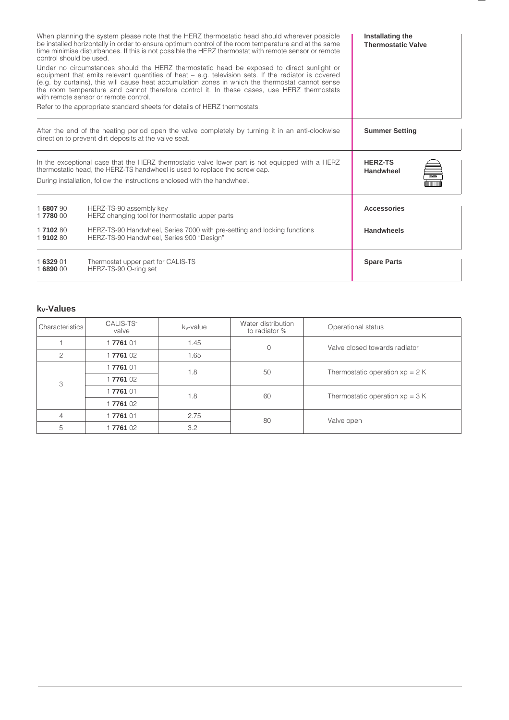| control should be used. | When planning the system please note that the HERZ thermostatic head should wherever possible<br>be installed horizontally in order to ensure optimum control of the room temperature and at the same<br>time minimise disturbances. If this is not possible the HERZ thermostat with remote sensor or remote                                                                                                                                                                                                              | Installating the<br><b>Thermostatic Valve</b> |
|-------------------------|----------------------------------------------------------------------------------------------------------------------------------------------------------------------------------------------------------------------------------------------------------------------------------------------------------------------------------------------------------------------------------------------------------------------------------------------------------------------------------------------------------------------------|-----------------------------------------------|
|                         | Under no circumstances should the HERZ thermostatic head be exposed to direct sunlight or<br>equipment that emits relevant quantities of heat $-$ e.g. television sets. If the radiator is covered<br>(e.g. by curtains), this will cause heat accumulation zones in which the thermostat cannot sense<br>the room temperature and cannot therefore control it. In these cases, use HERZ thermostats<br>with remote sensor or remote control.<br>Refer to the appropriate standard sheets for details of HERZ thermostats. |                                               |
|                         | After the end of the heating period open the valve completely by turning it in an anti-clockwise<br>direction to prevent dirt deposits at the valve seat.                                                                                                                                                                                                                                                                                                                                                                  | <b>Summer Setting</b>                         |
|                         | In the exceptional case that the HERZ thermostatic valve lower part is not equipped with a HERZ<br>thermostatic head, the HERZ-TS handwheel is used to replace the screw cap.<br>During installation, follow the instructions enclosed with the handwheel.                                                                                                                                                                                                                                                                 | <b>HERZ-TS</b><br><b>Handwheel</b><br>720313  |
| 1680790<br>17780 00     | HERZ-TS-90 assembly key<br>HERZ changing tool for thermostatic upper parts                                                                                                                                                                                                                                                                                                                                                                                                                                                 | <b>Accessories</b>                            |
| 1710280<br>1910280      | HERZ-TS-90 Handwheel, Series 7000 with pre-setting and locking functions<br>HERZ-TS-90 Handwheel, Series 900 "Design"                                                                                                                                                                                                                                                                                                                                                                                                      | <b>Handwheels</b>                             |
| 1632901<br>1689000      | Thermostat upper part for CALIS-TS<br>HERZ-TS-90 O-ring set                                                                                                                                                                                                                                                                                                                                                                                                                                                                | <b>Spare Parts</b>                            |

## **kv-Values**

| Characteristics | CALIS-TS-<br>valve | k <sub>v</sub> -value | Water distribution<br>to radiator % | Operational status               |
|-----------------|--------------------|-----------------------|-------------------------------------|----------------------------------|
|                 | 1776101            | 1.45                  | $\Omega$                            | Valve closed towards radiator    |
| 2               | 1776102            | 1.65                  |                                     |                                  |
|                 | 1776101            | 1.8                   | 50                                  | Thermostatic operation $xp = 2K$ |
| 3               | 1776102            |                       |                                     |                                  |
|                 | 1776101            | 1.8                   | 60                                  | Thermostatic operation $xp = 3K$ |
|                 | 1776102            |                       |                                     |                                  |
| $\overline{4}$  | 1776101            | 2.75                  | 80                                  | Valve open                       |
| 5               | 1776102            | 3.2                   |                                     |                                  |